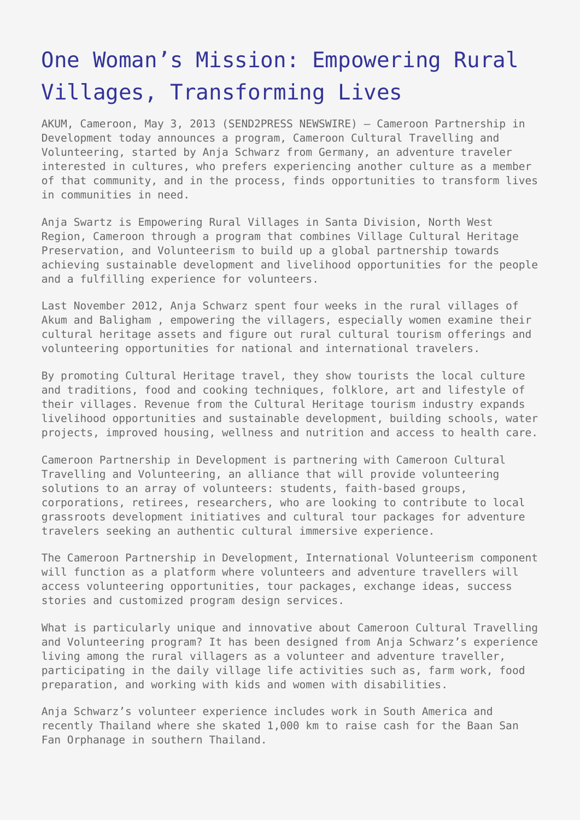## [One Woman's Mission: Empowering Rural](https://www.send2press.com/wire/one-womans-mission-empowering-rural-villages-transforming-lives_2013-05-0503-003/) [Villages, Transforming Lives](https://www.send2press.com/wire/one-womans-mission-empowering-rural-villages-transforming-lives_2013-05-0503-003/)

AKUM, Cameroon, May 3, 2013 (SEND2PRESS NEWSWIRE) — Cameroon Partnership in Development today announces a program, Cameroon Cultural Travelling and Volunteering, started by Anja Schwarz from Germany, an adventure traveler interested in cultures, who prefers experiencing another culture as a member of that community, and in the process, finds opportunities to transform lives in communities in need.

Anja Swartz is Empowering Rural Villages in Santa Division, North West Region, Cameroon through a program that combines Village Cultural Heritage Preservation, and Volunteerism to build up a global partnership towards achieving sustainable development and livelihood opportunities for the people and a fulfilling experience for volunteers.

Last November 2012, Anja Schwarz spent four weeks in the rural villages of Akum and Baligham , empowering the villagers, especially women examine their cultural heritage assets and figure out rural cultural tourism offerings and volunteering opportunities for national and international travelers.

By promoting Cultural Heritage travel, they show tourists the local culture and traditions, food and cooking techniques, folklore, art and lifestyle of their villages. Revenue from the Cultural Heritage tourism industry expands livelihood opportunities and sustainable development, building schools, water projects, improved housing, wellness and nutrition and access to health care.

Cameroon Partnership in Development is partnering with Cameroon Cultural Travelling and Volunteering, an alliance that will provide volunteering solutions to an array of volunteers: students, faith-based groups, corporations, retirees, researchers, who are looking to contribute to local grassroots development initiatives and cultural tour packages for adventure travelers seeking an authentic cultural immersive experience.

The Cameroon Partnership in Development, International Volunteerism component will function as a platform where volunteers and adventure travellers will access volunteering opportunities, tour packages, exchange ideas, success stories and customized program design services.

What is particularly unique and innovative about Cameroon Cultural Travelling and Volunteering program? It has been designed from Anja Schwarz's experience living among the rural villagers as a volunteer and adventure traveller, participating in the daily village life activities such as, farm work, food preparation, and working with kids and women with disabilities.

Anja Schwarz's volunteer experience includes work in South America and recently Thailand where she skated 1,000 km to raise cash for the Baan San Fan Orphanage in southern Thailand.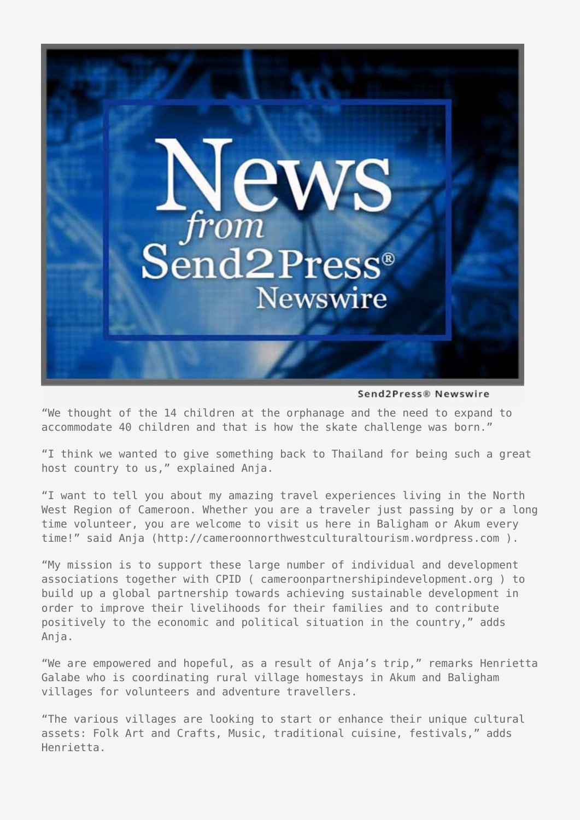

Send2Press® Newswire

"We thought of the 14 children at the orphanage and the need to expand to accommodate 40 children and that is how the skate challenge was born."

"I think we wanted to give something back to Thailand for being such a great host country to us," explained Anja.

"I want to tell you about my amazing travel experiences living in the North West Region of Cameroon. Whether you are a traveler just passing by or a long time volunteer, you are welcome to visit us here in Baligham or Akum every time!" said Anja (http://cameroonnorthwestculturaltourism.wordpress.com).

"My mission is to support these large number of individual and development associations together with CPID ( cameroonpartnershipindevelopment.org ) to build up a global partnership towards achieving sustainable development in order to improve their livelihoods for their families and to contribute positively to the economic and political situation in the country," adds Anja.

"We are empowered and hopeful, as a result of Anja's trip," remarks Henrietta Galabe who is coordinating rural village homestays in Akum and Baligham villages for volunteers and adventure travellers.

"The various villages are looking to start or enhance their unique cultural assets: Folk Art and Crafts, Music, traditional cuisine, festivals," adds Henrietta.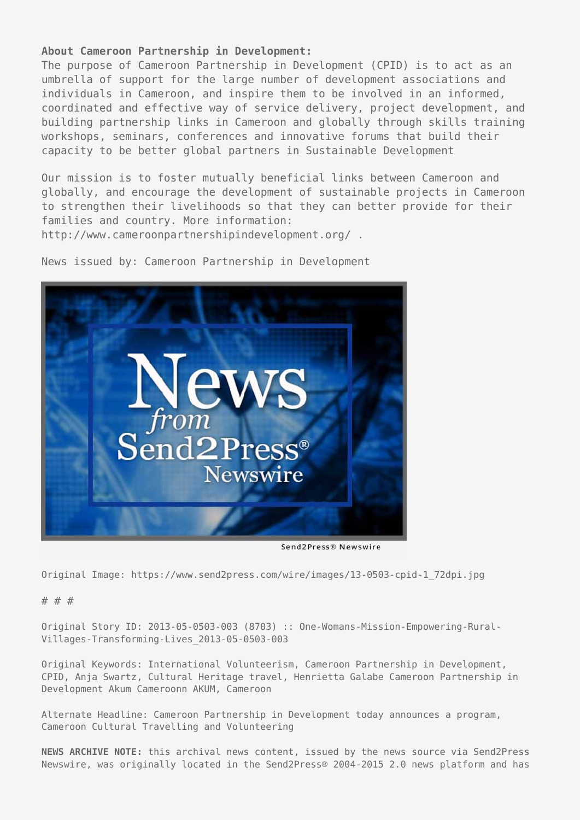## **About Cameroon Partnership in Development:**

The purpose of Cameroon Partnership in Development (CPID) is to act as an umbrella of support for the large number of development associations and individuals in Cameroon, and inspire them to be involved in an informed, coordinated and effective way of service delivery, project development, and building partnership links in Cameroon and globally through skills training workshops, seminars, conferences and innovative forums that build their capacity to be better global partners in Sustainable Development

Our mission is to foster mutually beneficial links between Cameroon and globally, and encourage the development of sustainable projects in Cameroon to strengthen their livelihoods so that they can better provide for their families and country. More information:

http://www.cameroonpartnershipindevelopment.org/ .



News issued by: Cameroon Partnership in Development

Send2Press® Newswire

Original Image: https://www.send2press.com/wire/images/13-0503-cpid-1\_72dpi.jpg

## # # #

Original Story ID: 2013-05-0503-003 (8703) :: One-Womans-Mission-Empowering-Rural-Villages-Transforming-Lives\_2013-05-0503-003

Original Keywords: International Volunteerism, Cameroon Partnership in Development, CPID, Anja Swartz, Cultural Heritage travel, Henrietta Galabe Cameroon Partnership in Development Akum Cameroonn AKUM, Cameroon

Alternate Headline: Cameroon Partnership in Development today announces a program, Cameroon Cultural Travelling and Volunteering

**NEWS ARCHIVE NOTE:** this archival news content, issued by the news source via Send2Press Newswire, was originally located in the Send2Press® 2004-2015 2.0 news platform and has